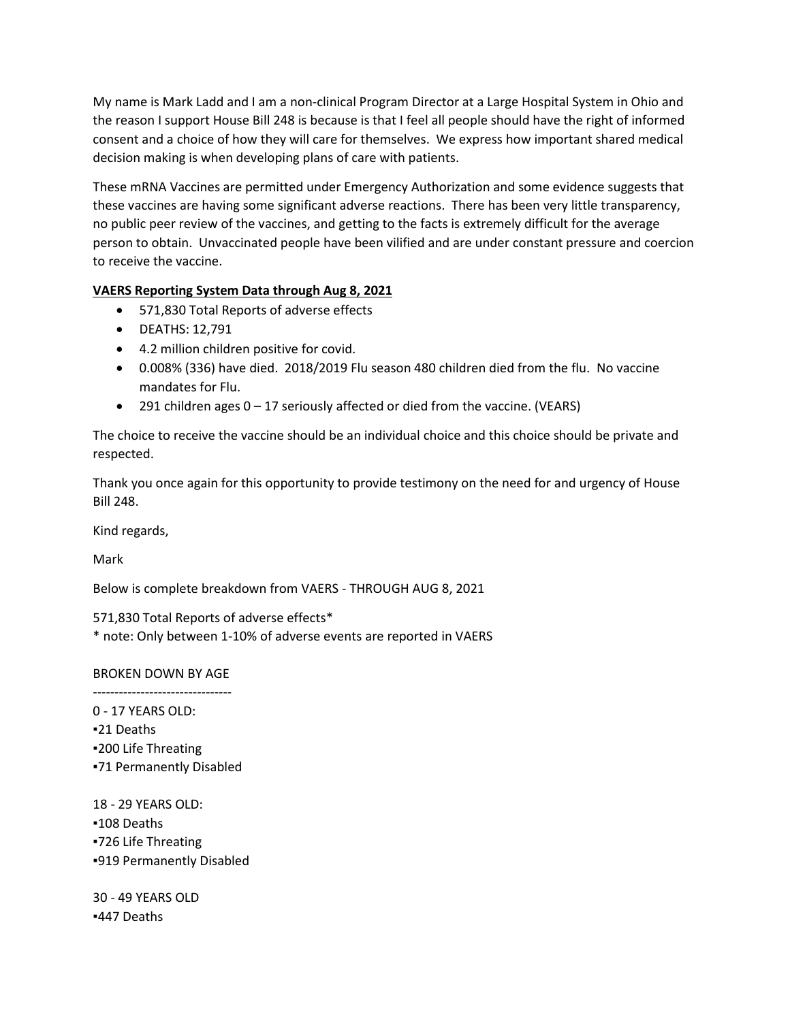My name is Mark Ladd and I am a non-clinical Program Director at a Large Hospital System in Ohio and the reason I support House Bill 248 is because is that I feel all people should have the right of informed consent and a choice of how they will care for themselves. We express how important shared medical decision making is when developing plans of care with patients.

These mRNA Vaccines are permitted under Emergency Authorization and some evidence suggests that these vaccines are having some significant adverse reactions. There has been very little transparency, no public peer review of the vaccines, and getting to the facts is extremely difficult for the average person to obtain. Unvaccinated people have been vilified and are under constant pressure and coercion to receive the vaccine.

## **VAERS Reporting System Data through Aug 8, 2021**

- 571,830 Total Reports of adverse effects
- DEATHS: 12,791
- 4.2 million children positive for covid.
- 0.008% (336) have died. 2018/2019 Flu season 480 children died from the flu. No vaccine mandates for Flu.
- 291 children ages 0 17 seriously affected or died from the vaccine. (VEARS)

The choice to receive the vaccine should be an individual choice and this choice should be private and respected.

Thank you once again for this opportunity to provide testimony on the need for and urgency of House Bill 248.

Kind regards,

Mark

Below is complete breakdown from VAERS - THROUGH AUG 8, 2021

571,830 Total Reports of adverse effects\* \* note: Only between 1-10% of adverse events are reported in VAERS

## BROKEN DOWN BY AGE

-------------------------------- 0 - 17 YEARS OLD: ▪21 Deaths ▪200 Life Threating ▪71 Permanently Disabled

18 - 29 YEARS OLD: ▪108 Deaths ▪726 Life Threating ▪919 Permanently Disabled

30 - 49 YEARS OLD ▪447 Deaths